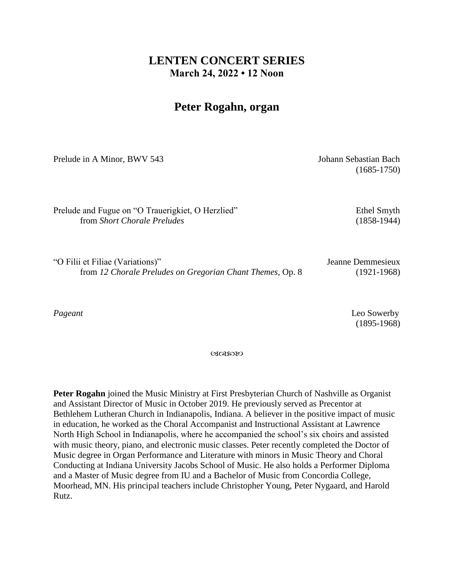## **LENTEN CONCERT SERIES March 24, 2022 • 12 Noon**

## **Peter Rogahn, organ**

Prelude in A Minor, BWV 543 Johann Sebastian Bach

(1685-1750)

Prelude and Fugue on "O Trauerigkiet, O Herzlied" Ethel Smyth from *Short Chorale Preludes* (1858-1944)

"O Filii et Filiae (Variations)" Jeanne Demmesieux from *12 Chorale Preludes on Gregorian Chant Themes*, Op. 8 (1921-1968)

*Pageant* Leo Sowerby (1895-1968)

ぴぽめめ

**Peter Rogahn** joined the Music Ministry at First Presbyterian Church of Nashville as Organist and Assistant Director of Music in October 2019. He previously served as Precentor at Bethlehem Lutheran Church in Indianapolis, Indiana. A believer in the positive impact of music in education, he worked as the Choral Accompanist and Instructional Assistant at Lawrence North High School in Indianapolis, where he accompanied the school's six choirs and assisted with music theory, piano, and electronic music classes. Peter recently completed the Doctor of Music degree in Organ Performance and Literature with minors in Music Theory and Choral Conducting at Indiana University Jacobs School of Music. He also holds a Performer Diploma and a Master of Music degree from IU and a Bachelor of Music from Concordia College, Moorhead, MN. His principal teachers include Christopher Young, Peter Nygaard, and Harold Rutz.